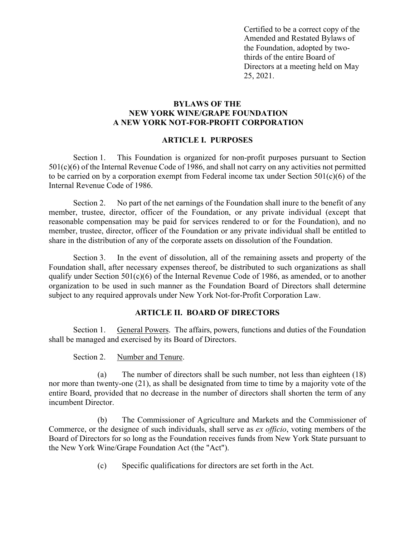Certified to be a correct copy of the Amended and Restated Bylaws of the Foundation, adopted by twothirds of the entire Board of Directors at a meeting held on May 25, 2021.

### **BYLAWS OF THE NEW YORK WINE/GRAPE FOUNDATION A NEW YORK NOT-FOR-PROFIT CORPORATION**

#### **ARTICLE I. PURPOSES**

Section 1. This Foundation is organized for non-profit purposes pursuant to Section 501(c)(6) of the Internal Revenue Code of 1986, and shall not carry on any activities not permitted to be carried on by a corporation exempt from Federal income tax under Section 501(c)(6) of the Internal Revenue Code of 1986.

Section 2. No part of the net earnings of the Foundation shall inure to the benefit of any member, trustee, director, officer of the Foundation, or any private individual (except that reasonable compensation may be paid for services rendered to or for the Foundation), and no member, trustee, director, officer of the Foundation or any private individual shall be entitled to share in the distribution of any of the corporate assets on dissolution of the Foundation.

Section 3. In the event of dissolution, all of the remaining assets and property of the Foundation shall, after necessary expenses thereof, be distributed to such organizations as shall qualify under Section  $501(c)(6)$  of the Internal Revenue Code of 1986, as amended, or to another organization to be used in such manner as the Foundation Board of Directors shall determine subject to any required approvals under New York Not-for-Profit Corporation Law.

### **ARTICLE II. BOARD OF DIRECTORS**

Section 1. General Powers. The affairs, powers, functions and duties of the Foundation shall be managed and exercised by its Board of Directors.

Section 2. Number and Tenure.

(a) The number of directors shall be such number, not less than eighteen (18) nor more than twenty-one (21), as shall be designated from time to time by a majority vote of the entire Board, provided that no decrease in the number of directors shall shorten the term of any incumbent Director.

(b) The Commissioner of Agriculture and Markets and the Commissioner of Commerce, or the designee of such individuals, shall serve as *ex officio*, voting members of the Board of Directors for so long as the Foundation receives funds from New York State pursuant to the New York Wine/Grape Foundation Act (the "Act").

(c) Specific qualifications for directors are set forth in the Act.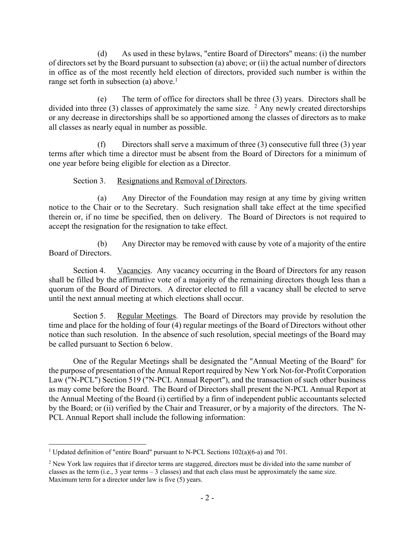(d) As used in these bylaws, "entire Board of Directors" means: (i) the number of directors set by the Board pursuant to subsection (a) above; or (ii) the actual number of directors in office as of the most recently held election of directors, provided such number is within the range set forth in subsection (a) above.<sup>1</sup>

(e) The term of office for directors shall be three (3) years. Directors shall be divided into three (3) classes of approximately the same size.  $2$  Any newly created directorships or any decrease in directorships shall be so apportioned among the classes of directors as to make all classes as nearly equal in number as possible.

(f) Directors shall serve a maximum of three  $(3)$  consecutive full three  $(3)$  year terms after which time a director must be absent from the Board of Directors for a minimum of one year before being eligible for election as a Director.

Section 3. Resignations and Removal of Directors.

(a) Any Director of the Foundation may resign at any time by giving written notice to the Chair or to the Secretary. Such resignation shall take effect at the time specified therein or, if no time be specified, then on delivery. The Board of Directors is not required to accept the resignation for the resignation to take effect.

(b) Any Director may be removed with cause by vote of a majority of the entire Board of Directors.

Section 4. Vacancies. Any vacancy occurring in the Board of Directors for any reason shall be filled by the affirmative vote of a majority of the remaining directors though less than a quorum of the Board of Directors. A director elected to fill a vacancy shall be elected to serve until the next annual meeting at which elections shall occur.

Section 5. Regular Meetings. The Board of Directors may provide by resolution the time and place for the holding of four (4) regular meetings of the Board of Directors without other notice than such resolution. In the absence of such resolution, special meetings of the Board may be called pursuant to Section 6 below.

One of the Regular Meetings shall be designated the "Annual Meeting of the Board" for the purpose of presentation of the Annual Report required by New York Not-for-Profit Corporation Law ("N-PCL") Section 519 ("N-PCL Annual Report"), and the transaction of such other business as may come before the Board. The Board of Directors shall present the N-PCL Annual Report at the Annual Meeting of the Board (i) certified by a firm of independent public accountants selected by the Board; or (ii) verified by the Chair and Treasurer, or by a majority of the directors. The N-PCL Annual Report shall include the following information:

<sup>&</sup>lt;sup>1</sup> Updated definition of "entire Board" pursuant to N-PCL Sections  $102(a)(6-a)$  and 701.

<sup>&</sup>lt;sup>2</sup> New York law requires that if director terms are staggered, directors must be divided into the same number of classes as the term (i.e., 3 year terms – 3 classes) and that each class must be approximately the same size. Maximum term for a director under law is five (5) years.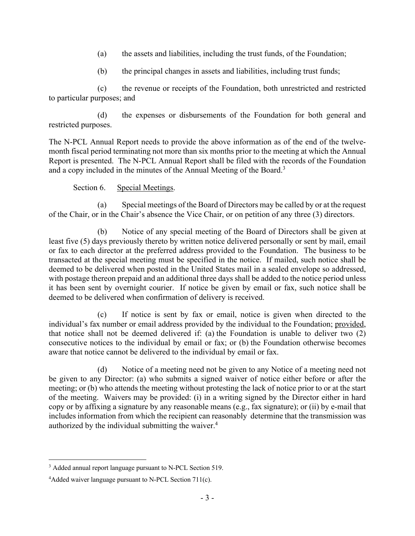- (a) the assets and liabilities, including the trust funds, of the Foundation;
- (b) the principal changes in assets and liabilities, including trust funds;

(c) the revenue or receipts of the Foundation, both unrestricted and restricted to particular purposes; and

(d) the expenses or disbursements of the Foundation for both general and restricted purposes.

The N-PCL Annual Report needs to provide the above information as of the end of the twelvemonth fiscal period terminating not more than six months prior to the meeting at which the Annual Report is presented. The N-PCL Annual Report shall be filed with the records of the Foundation and a copy included in the minutes of the Annual Meeting of the Board.3

Section 6. Special Meetings.

(a) Special meetings of the Board of Directors may be called by or at the request of the Chair, or in the Chair's absence the Vice Chair, or on petition of any three (3) directors.

(b) Notice of any special meeting of the Board of Directors shall be given at least five (5) days previously thereto by written notice delivered personally or sent by mail, email or fax to each director at the preferred address provided to the Foundation. The business to be transacted at the special meeting must be specified in the notice. If mailed, such notice shall be deemed to be delivered when posted in the United States mail in a sealed envelope so addressed, with postage thereon prepaid and an additional three days shall be added to the notice period unless it has been sent by overnight courier. If notice be given by email or fax, such notice shall be deemed to be delivered when confirmation of delivery is received.

(c) If notice is sent by fax or email, notice is given when directed to the individual's fax number or email address provided by the individual to the Foundation; provided, that notice shall not be deemed delivered if: (a) the Foundation is unable to deliver two (2) consecutive notices to the individual by email or fax; or (b) the Foundation otherwise becomes aware that notice cannot be delivered to the individual by email or fax.

(d) Notice of a meeting need not be given to any Notice of a meeting need not be given to any Director: (a) who submits a signed waiver of notice either before or after the meeting; or (b) who attends the meeting without protesting the lack of notice prior to or at the start of the meeting. Waivers may be provided: (i) in a writing signed by the Director either in hard copy or by affixing a signature by any reasonable means (e.g., fax signature); or (ii) by e-mail that includes information from which the recipient can reasonably determine that the transmission was authorized by the individual submitting the waiver.<sup>4</sup>

<sup>&</sup>lt;sup>3</sup> Added annual report language pursuant to N-PCL Section 519.

<sup>&</sup>lt;sup>4</sup>Added waiver language pursuant to N-PCL Section 711(c).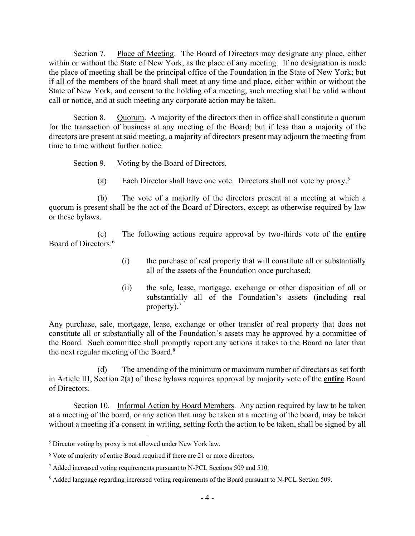Section 7. Place of Meeting. The Board of Directors may designate any place, either within or without the State of New York, as the place of any meeting. If no designation is made the place of meeting shall be the principal office of the Foundation in the State of New York; but if all of the members of the board shall meet at any time and place, either within or without the State of New York, and consent to the holding of a meeting, such meeting shall be valid without call or notice, and at such meeting any corporate action may be taken.

Section 8. Quorum. A majority of the directors then in office shall constitute a quorum for the transaction of business at any meeting of the Board; but if less than a majority of the directors are present at said meeting, a majority of directors present may adjourn the meeting from time to time without further notice.

Section 9. Voting by the Board of Directors.

(a) Each Director shall have one vote. Directors shall not vote by proxy.<sup>5</sup>

(b) The vote of a majority of the directors present at a meeting at which a quorum is present shall be the act of the Board of Directors, except as otherwise required by law or these bylaws.

(c) The following actions require approval by two-thirds vote of the **entire**  Board of Directors:6

- (i) the purchase of real property that will constitute all or substantially all of the assets of the Foundation once purchased;
- (ii) the sale, lease, mortgage, exchange or other disposition of all or substantially all of the Foundation's assets (including real property).<sup>7</sup>

Any purchase, sale, mortgage, lease, exchange or other transfer of real property that does not constitute all or substantially all of the Foundation's assets may be approved by a committee of the Board. Such committee shall promptly report any actions it takes to the Board no later than the next regular meeting of the Board.<sup>8</sup>

The amending of the minimum or maximum number of directors as set forth in Article III, Section 2(a) of these bylaws requires approval by majority vote of the **entire** Board of Directors.

Section 10. Informal Action by Board Members. Any action required by law to be taken at a meeting of the board, or any action that may be taken at a meeting of the board, may be taken without a meeting if a consent in writing, setting forth the action to be taken, shall be signed by all

<sup>&</sup>lt;sup>5</sup> Director voting by proxy is not allowed under New York law.

<sup>&</sup>lt;sup>6</sup> Vote of majority of entire Board required if there are 21 or more directors.

<sup>7</sup> Added increased voting requirements pursuant to N-PCL Sections 509 and 510.

<sup>&</sup>lt;sup>8</sup> Added language regarding increased voting requirements of the Board pursuant to N-PCL Section 509.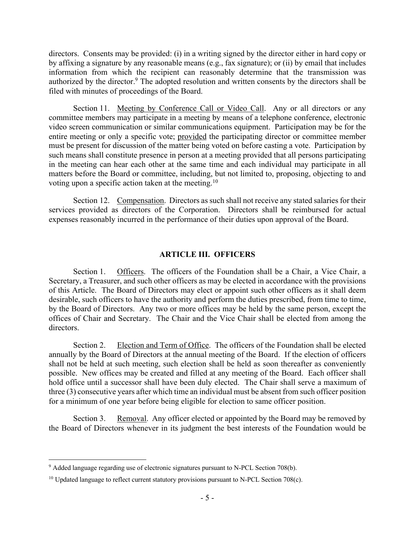directors. Consents may be provided: (i) in a writing signed by the director either in hard copy or by affixing a signature by any reasonable means (e.g., fax signature); or (ii) by email that includes information from which the recipient can reasonably determine that the transmission was authorized by the director.<sup>9</sup> The adopted resolution and written consents by the directors shall be filed with minutes of proceedings of the Board.

Section 11. Meeting by Conference Call or Video Call. Any or all directors or any committee members may participate in a meeting by means of a telephone conference, electronic video screen communication or similar communications equipment. Participation may be for the entire meeting or only a specific vote; provided the participating director or committee member must be present for discussion of the matter being voted on before casting a vote. Participation by such means shall constitute presence in person at a meeting provided that all persons participating in the meeting can hear each other at the same time and each individual may participate in all matters before the Board or committee, including, but not limited to, proposing, objecting to and voting upon a specific action taken at the meeting.10

Section 12. Compensation. Directors as such shall not receive any stated salaries for their services provided as directors of the Corporation. Directors shall be reimbursed for actual expenses reasonably incurred in the performance of their duties upon approval of the Board.

#### **ARTICLE III. OFFICERS**

Section 1. Officers. The officers of the Foundation shall be a Chair, a Vice Chair, a Secretary, a Treasurer, and such other officers as may be elected in accordance with the provisions of this Article. The Board of Directors may elect or appoint such other officers as it shall deem desirable, such officers to have the authority and perform the duties prescribed, from time to time, by the Board of Directors. Any two or more offices may be held by the same person, except the offices of Chair and Secretary. The Chair and the Vice Chair shall be elected from among the directors.

Section 2. Election and Term of Office. The officers of the Foundation shall be elected annually by the Board of Directors at the annual meeting of the Board. If the election of officers shall not be held at such meeting, such election shall be held as soon thereafter as conveniently possible. New offices may be created and filled at any meeting of the Board. Each officer shall hold office until a successor shall have been duly elected. The Chair shall serve a maximum of three (3) consecutive years after which time an individual must be absent from such officer position for a minimum of one year before being eligible for election to same officer position.

Section 3. Removal. Any officer elected or appointed by the Board may be removed by the Board of Directors whenever in its judgment the best interests of the Foundation would be

 $9$  Added language regarding use of electronic signatures pursuant to N-PCL Section 708(b).

 $10$  Updated language to reflect current statutory provisions pursuant to N-PCL Section 708(c).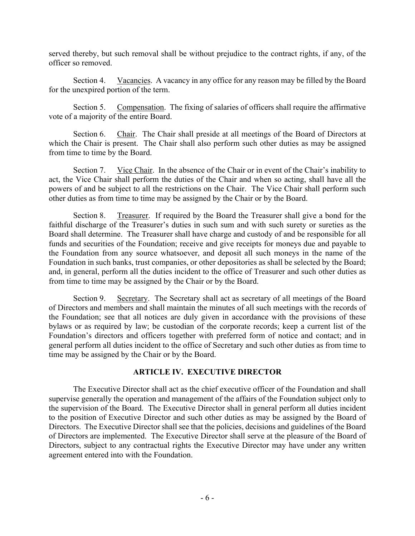served thereby, but such removal shall be without prejudice to the contract rights, if any, of the officer so removed.

Section 4. Vacancies. A vacancy in any office for any reason may be filled by the Board for the unexpired portion of the term.

Section 5. Compensation. The fixing of salaries of officers shall require the affirmative vote of a majority of the entire Board.

Section 6. Chair. The Chair shall preside at all meetings of the Board of Directors at which the Chair is present. The Chair shall also perform such other duties as may be assigned from time to time by the Board.

Section 7. Vice Chair. In the absence of the Chair or in event of the Chair's inability to act, the Vice Chair shall perform the duties of the Chair and when so acting, shall have all the powers of and be subject to all the restrictions on the Chair. The Vice Chair shall perform such other duties as from time to time may be assigned by the Chair or by the Board.

Section 8. Treasurer. If required by the Board the Treasurer shall give a bond for the faithful discharge of the Treasurer's duties in such sum and with such surety or sureties as the Board shall determine. The Treasurer shall have charge and custody of and be responsible for all funds and securities of the Foundation; receive and give receipts for moneys due and payable to the Foundation from any source whatsoever, and deposit all such moneys in the name of the Foundation in such banks, trust companies, or other depositories as shall be selected by the Board; and, in general, perform all the duties incident to the office of Treasurer and such other duties as from time to time may be assigned by the Chair or by the Board.

Section 9. Secretary. The Secretary shall act as secretary of all meetings of the Board of Directors and members and shall maintain the minutes of all such meetings with the records of the Foundation; see that all notices are duly given in accordance with the provisions of these bylaws or as required by law; be custodian of the corporate records; keep a current list of the Foundation's directors and officers together with preferred form of notice and contact; and in general perform all duties incident to the office of Secretary and such other duties as from time to time may be assigned by the Chair or by the Board.

# **ARTICLE IV. EXECUTIVE DIRECTOR**

The Executive Director shall act as the chief executive officer of the Foundation and shall supervise generally the operation and management of the affairs of the Foundation subject only to the supervision of the Board. The Executive Director shall in general perform all duties incident to the position of Executive Director and such other duties as may be assigned by the Board of Directors. The Executive Director shall see that the policies, decisions and guidelines of the Board of Directors are implemented. The Executive Director shall serve at the pleasure of the Board of Directors, subject to any contractual rights the Executive Director may have under any written agreement entered into with the Foundation.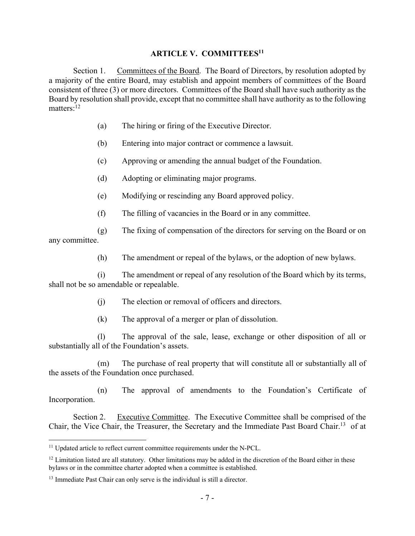### **ARTICLE V. COMMITTEES11**

Section 1. Committees of the Board. The Board of Directors, by resolution adopted by a majority of the entire Board, may establish and appoint members of committees of the Board consistent of three (3) or more directors. Committees of the Board shall have such authority as the Board by resolution shall provide, except that no committee shall have authority as to the following matters:<sup>12</sup>

- (a) The hiring or firing of the Executive Director.
- (b) Entering into major contract or commence a lawsuit.
- (c) Approving or amending the annual budget of the Foundation.
- (d) Adopting or eliminating major programs.
- (e) Modifying or rescinding any Board approved policy.
- (f) The filling of vacancies in the Board or in any committee.

(g) The fixing of compensation of the directors for serving on the Board or on any committee.

(h) The amendment or repeal of the bylaws, or the adoption of new bylaws.

(i) The amendment or repeal of any resolution of the Board which by its terms, shall not be so amendable or repealable.

- (j) The election or removal of officers and directors.
- (k) The approval of a merger or plan of dissolution.

(l) The approval of the sale, lease, exchange or other disposition of all or substantially all of the Foundation's assets.

(m) The purchase of real property that will constitute all or substantially all of the assets of the Foundation once purchased.

(n) The approval of amendments to the Foundation's Certificate of Incorporation.

Section 2. Executive Committee. The Executive Committee shall be comprised of the Chair, the Vice Chair, the Treasurer, the Secretary and the Immediate Past Board Chair.13 of at

<sup>&</sup>lt;sup>11</sup> Updated article to reflect current committee requirements under the N-PCL.

 $12$  Limitation listed are all statutory. Other limitations may be added in the discretion of the Board either in these bylaws or in the committee charter adopted when a committee is established.

<sup>&</sup>lt;sup>13</sup> Immediate Past Chair can only serve is the individual is still a director.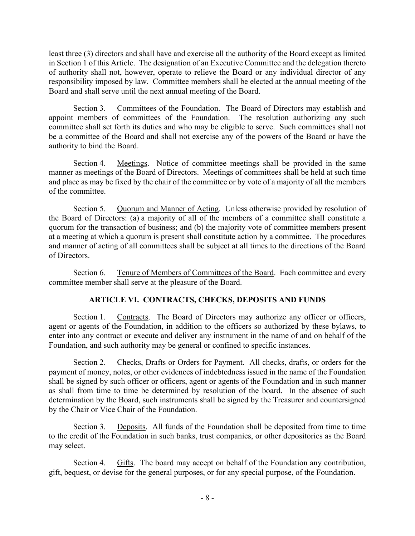least three (3) directors and shall have and exercise all the authority of the Board except as limited in Section 1 of this Article. The designation of an Executive Committee and the delegation thereto of authority shall not, however, operate to relieve the Board or any individual director of any responsibility imposed by law. Committee members shall be elected at the annual meeting of the Board and shall serve until the next annual meeting of the Board.

Section 3. Committees of the Foundation. The Board of Directors may establish and appoint members of committees of the Foundation. The resolution authorizing any such committee shall set forth its duties and who may be eligible to serve. Such committees shall not be a committee of the Board and shall not exercise any of the powers of the Board or have the authority to bind the Board.

Section 4. Meetings. Notice of committee meetings shall be provided in the same manner as meetings of the Board of Directors. Meetings of committees shall be held at such time and place as may be fixed by the chair of the committee or by vote of a majority of all the members of the committee.

Section 5. Quorum and Manner of Acting. Unless otherwise provided by resolution of the Board of Directors: (a) a majority of all of the members of a committee shall constitute a quorum for the transaction of business; and (b) the majority vote of committee members present at a meeting at which a quorum is present shall constitute action by a committee. The procedures and manner of acting of all committees shall be subject at all times to the directions of the Board of Directors.

Section 6. Tenure of Members of Committees of the Board. Each committee and every committee member shall serve at the pleasure of the Board.

# **ARTICLE VI. CONTRACTS, CHECKS, DEPOSITS AND FUNDS**

Section 1. Contracts. The Board of Directors may authorize any officer or officers, agent or agents of the Foundation, in addition to the officers so authorized by these bylaws, to enter into any contract or execute and deliver any instrument in the name of and on behalf of the Foundation, and such authority may be general or confined to specific instances.

Section 2. Checks, Drafts or Orders for Payment. All checks, drafts, or orders for the payment of money, notes, or other evidences of indebtedness issued in the name of the Foundation shall be signed by such officer or officers, agent or agents of the Foundation and in such manner as shall from time to time be determined by resolution of the board. In the absence of such determination by the Board, such instruments shall be signed by the Treasurer and countersigned by the Chair or Vice Chair of the Foundation.

Section 3. Deposits. All funds of the Foundation shall be deposited from time to time to the credit of the Foundation in such banks, trust companies, or other depositories as the Board may select.

Section 4. Gifts. The board may accept on behalf of the Foundation any contribution, gift, bequest, or devise for the general purposes, or for any special purpose, of the Foundation.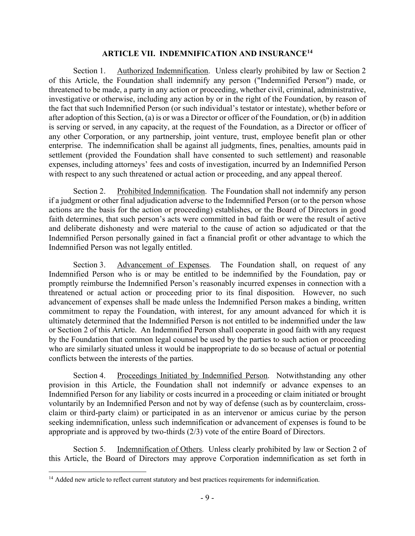### **ARTICLE VII. INDEMNIFICATION AND INSURANCE14**

Section 1. Authorized Indemnification. Unless clearly prohibited by law or Section 2 of this Article, the Foundation shall indemnify any person ("Indemnified Person") made, or threatened to be made, a party in any action or proceeding, whether civil, criminal, administrative, investigative or otherwise, including any action by or in the right of the Foundation, by reason of the fact that such Indemnified Person (or such individual's testator or intestate), whether before or after adoption of this Section, (a) is or was a Director or officer of the Foundation, or (b) in addition is serving or served, in any capacity, at the request of the Foundation, as a Director or officer of any other Corporation, or any partnership, joint venture, trust, employee benefit plan or other enterprise. The indemnification shall be against all judgments, fines, penalties, amounts paid in settlement (provided the Foundation shall have consented to such settlement) and reasonable expenses, including attorneys' fees and costs of investigation, incurred by an Indemnified Person with respect to any such threatened or actual action or proceeding, and any appeal thereof.

Section 2. Prohibited Indemnification. The Foundation shall not indemnify any person if a judgment or other final adjudication adverse to the Indemnified Person (or to the person whose actions are the basis for the action or proceeding) establishes, or the Board of Directors in good faith determines, that such person's acts were committed in bad faith or were the result of active and deliberate dishonesty and were material to the cause of action so adjudicated or that the Indemnified Person personally gained in fact a financial profit or other advantage to which the Indemnified Person was not legally entitled.

Section 3. Advancement of Expenses. The Foundation shall, on request of any Indemnified Person who is or may be entitled to be indemnified by the Foundation, pay or promptly reimburse the Indemnified Person's reasonably incurred expenses in connection with a threatened or actual action or proceeding prior to its final disposition. However, no such advancement of expenses shall be made unless the Indemnified Person makes a binding, written commitment to repay the Foundation, with interest, for any amount advanced for which it is ultimately determined that the Indemnified Person is not entitled to be indemnified under the law or Section 2 of this Article. An Indemnified Person shall cooperate in good faith with any request by the Foundation that common legal counsel be used by the parties to such action or proceeding who are similarly situated unless it would be inappropriate to do so because of actual or potential conflicts between the interests of the parties.

Section 4. Proceedings Initiated by Indemnified Person. Notwithstanding any other provision in this Article, the Foundation shall not indemnify or advance expenses to an Indemnified Person for any liability or costs incurred in a proceeding or claim initiated or brought voluntarily by an Indemnified Person and not by way of defense (such as by counterclaim, crossclaim or third-party claim) or participated in as an intervenor or amicus curiae by the person seeking indemnification, unless such indemnification or advancement of expenses is found to be appropriate and is approved by two-thirds (2/3) vote of the entire Board of Directors.

Section 5. Indemnification of Others. Unless clearly prohibited by law or Section 2 of this Article, the Board of Directors may approve Corporation indemnification as set forth in

<sup>&</sup>lt;sup>14</sup> Added new article to reflect current statutory and best practices requirements for indemnification.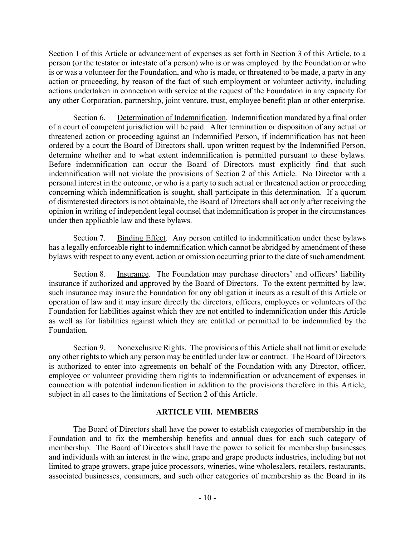Section 1 of this Article or advancement of expenses as set forth in Section 3 of this Article, to a person (or the testator or intestate of a person) who is or was employed by the Foundation or who is or was a volunteer for the Foundation, and who is made, or threatened to be made, a party in any action or proceeding, by reason of the fact of such employment or volunteer activity, including actions undertaken in connection with service at the request of the Foundation in any capacity for any other Corporation, partnership, joint venture, trust, employee benefit plan or other enterprise.

Section 6. Determination of Indemnification. Indemnification mandated by a final order of a court of competent jurisdiction will be paid. After termination or disposition of any actual or threatened action or proceeding against an Indemnified Person, if indemnification has not been ordered by a court the Board of Directors shall, upon written request by the Indemnified Person, determine whether and to what extent indemnification is permitted pursuant to these bylaws. Before indemnification can occur the Board of Directors must explicitly find that such indemnification will not violate the provisions of Section 2 of this Article. No Director with a personal interest in the outcome, or who is a party to such actual or threatened action or proceeding concerning which indemnification is sought, shall participate in this determination. If a quorum of disinterested directors is not obtainable, the Board of Directors shall act only after receiving the opinion in writing of independent legal counsel that indemnification is proper in the circumstances under then applicable law and these bylaws.

Section 7. Binding Effect. Any person entitled to indemnification under these bylaws has a legally enforceable right to indemnification which cannot be abridged by amendment of these bylaws with respect to any event, action or omission occurring prior to the date of such amendment.

Section 8. Insurance. The Foundation may purchase directors' and officers' liability insurance if authorized and approved by the Board of Directors. To the extent permitted by law, such insurance may insure the Foundation for any obligation it incurs as a result of this Article or operation of law and it may insure directly the directors, officers, employees or volunteers of the Foundation for liabilities against which they are not entitled to indemnification under this Article as well as for liabilities against which they are entitled or permitted to be indemnified by the Foundation.

Section 9. Nonexclusive Rights. The provisions of this Article shall not limit or exclude any other rights to which any person may be entitled under law or contract. The Board of Directors is authorized to enter into agreements on behalf of the Foundation with any Director, officer, employee or volunteer providing them rights to indemnification or advancement of expenses in connection with potential indemnification in addition to the provisions therefore in this Article, subject in all cases to the limitations of Section 2 of this Article.

### **ARTICLE VIII. MEMBERS**

The Board of Directors shall have the power to establish categories of membership in the Foundation and to fix the membership benefits and annual dues for each such category of membership. The Board of Directors shall have the power to solicit for membership businesses and individuals with an interest in the wine, grape and grape products industries, including but not limited to grape growers, grape juice processors, wineries, wine wholesalers, retailers, restaurants, associated businesses, consumers, and such other categories of membership as the Board in its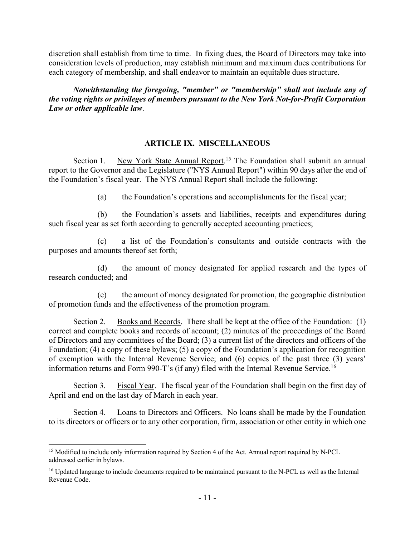discretion shall establish from time to time. In fixing dues, the Board of Directors may take into consideration levels of production, may establish minimum and maximum dues contributions for each category of membership, and shall endeavor to maintain an equitable dues structure.

*Notwithstanding the foregoing, "member" or "membership" shall not include any of the voting rights or privileges of members pursuant to the New York Not-for-Profit Corporation Law or other applicable law*.

# **ARTICLE IX. MISCELLANEOUS**

Section 1. New York State Annual Report.<sup>15</sup> The Foundation shall submit an annual report to the Governor and the Legislature ("NYS Annual Report") within 90 days after the end of the Foundation's fiscal year. The NYS Annual Report shall include the following:

(a) the Foundation's operations and accomplishments for the fiscal year;

(b) the Foundation's assets and liabilities, receipts and expenditures during such fiscal year as set forth according to generally accepted accounting practices;

(c) a list of the Foundation's consultants and outside contracts with the purposes and amounts thereof set forth;

(d) the amount of money designated for applied research and the types of research conducted; and

(e) the amount of money designated for promotion, the geographic distribution of promotion funds and the effectiveness of the promotion program.

Section 2. Books and Records. There shall be kept at the office of the Foundation: (1) correct and complete books and records of account; (2) minutes of the proceedings of the Board of Directors and any committees of the Board; (3) a current list of the directors and officers of the Foundation; (4) a copy of these bylaws; (5) a copy of the Foundation's application for recognition of exemption with the Internal Revenue Service; and (6) copies of the past three (3) years' information returns and Form 990-T's (if any) filed with the Internal Revenue Service.<sup>16</sup>

Section 3. Fiscal Year. The fiscal year of the Foundation shall begin on the first day of April and end on the last day of March in each year.

Section 4. Loans to Directors and Officers. No loans shall be made by the Foundation to its directors or officers or to any other corporation, firm, association or other entity in which one

<sup>&</sup>lt;sup>15</sup> Modified to include only information required by Section 4 of the Act. Annual report required by N-PCL addressed earlier in bylaws.

<sup>&</sup>lt;sup>16</sup> Updated language to include documents required to be maintained pursuant to the N-PCL as well as the Internal Revenue Code.